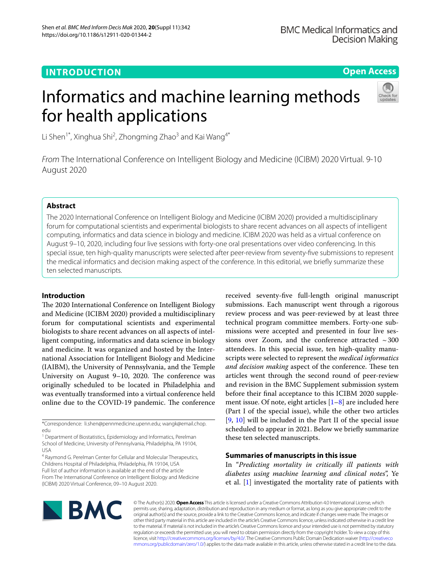# **INTRODUCTION**

# **Open Access**

# Informatics and machine learning methods for health applications



Li Shen<sup>1\*</sup>, Xinghua Shi<sup>2</sup>, Zhongming Zhao<sup>3</sup> and Kai Wang<sup>4\*</sup>

*From* The International Conference on Intelligent Biology and Medicine (ICIBM) 2020 Virtual. 9-10 August 2020

# **Abstract**

The 2020 International Conference on Intelligent Biology and Medicine (ICIBM 2020) provided a multidisciplinary forum for computational scientists and experimental biologists to share recent advances on all aspects of intelligent computing, informatics and data science in biology and medicine. ICIBM 2020 was held as a virtual conference on August 9–10, 2020, including four live sessions with forty-one oral presentations over video conferencing. In this special issue, ten high-quality manuscripts were selected after peer-review from seventy-fve submissions to represent the medical informatics and decision making aspect of the conference. In this editorial, we briefy summarize these ten selected manuscripts.

## **Introduction**

The 2020 International Conference on Intelligent Biology and Medicine (ICIBM 2020) provided a multidisciplinary forum for computational scientists and experimental biologists to share recent advances on all aspects of intelligent computing, informatics and data science in biology and medicine. It was organized and hosted by the International Association for Intelligent Biology and Medicine (IAIBM), the University of Pennsylvania, and the Temple University on August 9–10, 2020. The conference was originally scheduled to be located in Philadelphia and was eventually transformed into a virtual conference held online due to the COVID-19 pandemic. The conference

\*Correspondence: li.shen@pennmedicine.upenn.edu; wangk@email.chop. edu

<sup>1</sup> Department of Biostatistics, Epidemiology and Informatics, Perelman School of Medicine, University of Pennsylvania, Philadelphia, PA 19104, USA

<sup>4</sup> Raymond G. Perelman Center for Cellular and Molecular Therapeutics, Childrens Hospital of Philadelphia, Philadelphia, PA 19104, USA Full list of author information is available at the end of the article From The International Conference on Intelligent Biology and Medicine (ICIBM) 2020 Virtual Conference, 09–10 August 2020.

received seventy-fve full-length original manuscript submissions. Each manuscript went through a rigorous review process and was peer-reviewed by at least three technical program committee members. Forty-one submissions were accepted and presented in four live sessions over Zoom, and the conference attracted  $\sim$  300 attendees. In this special issue, ten high-quality manuscripts were selected to represent the *medical informatics and decision making* aspect of the conference. These ten articles went through the second round of peer-review and revision in the BMC Supplement submission system before their fnal acceptance to this ICIBM 2020 supplement issue. Of note, eight articles  $[1-8]$  $[1-8]$  $[1-8]$  are included here (Part I of the special issue), while the other two articles [[9,](#page-3-2) [10\]](#page-3-3) will be included in the Part II of the special issue scheduled to appear in 2021. Below we briefy summarize these ten selected manuscripts.

# **Summaries of manuscripts in this issue**

In "*Predicting mortality in critically ill patients with diabetes using machine learning and clinical notes*", Ye et al. [[1\]](#page-3-0) investigated the mortality rate of patients with



© The Author(s) 2020. **Open Access** This article is licensed under a Creative Commons Attribution 4.0 International License, which permits use, sharing, adaptation, distribution and reproduction in any medium or format, as long as you give appropriate credit to the original author(s) and the source, provide a link to the Creative Commons licence, and indicate if changes were made. The images or other third party material in this article are included in the article's Creative Commons licence, unless indicated otherwise in a credit line to the material. If material is not included in the article's Creative Commons licence and your intended use is not permitted by statutory regulation or exceeds the permitted use, you will need to obtain permission directly from the copyright holder. To view a copy of this licence, visit [http://creativecommons.org/licenses/by/4.0/.](http://creativecommons.org/licenses/by/4.0/) The Creative Commons Public Domain Dedication waiver ([http://creativeco](http://creativecommons.org/publicdomain/zero/1.0/) [mmons.org/publicdomain/zero/1.0/](http://creativecommons.org/publicdomain/zero/1.0/)) applies to the data made available in this article, unless otherwise stated in a credit line to the data.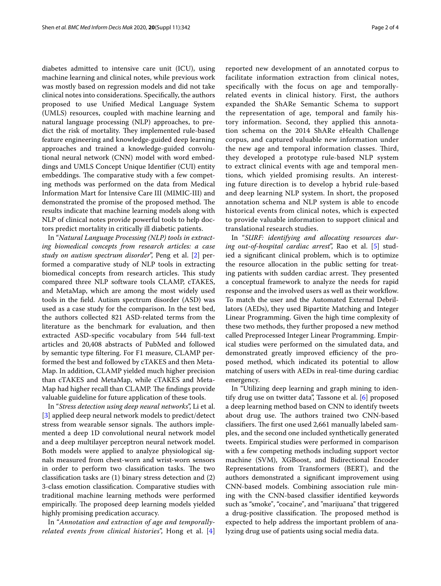diabetes admitted to intensive care unit (ICU), using machine learning and clinical notes, while previous work was mostly based on regression models and did not take clinical notes into considerations. Specifcally, the authors proposed to use Unifed Medical Language System (UMLS) resources, coupled with machine learning and natural language processing (NLP) approaches, to predict the risk of mortality. They implemented rule-based feature engineering and knowledge-guided deep learning approaches and trained a knowledge-guided convolutional neural network (CNN) model with word embeddings and UMLS Concept Unique Identifer (CUI) entity embeddings. The comparative study with a few competing methods was performed on the data from Medical Information Mart for Intensive Care III (MIMIC-III) and demonstrated the promise of the proposed method. The results indicate that machine learning models along with NLP of clinical notes provide powerful tools to help doctors predict mortality in critically ill diabetic patients.

In "*Natural Language Processing (NLP) tools in extracting biomedical concepts from research articles: a case study on autism spectrum disorder*", Peng et al. [[2\]](#page-3-4) performed a comparative study of NLP tools in extracting biomedical concepts from research articles. This study compared three NLP software tools CLAMP, cTAKES, and MetaMap, which are among the most widely used tools in the feld. Autism spectrum disorder (ASD) was used as a case study for the comparison. In the test bed, the authors collected 821 ASD-related terms from the literature as the benchmark for evaluation, and then extracted ASD-specifc vocabulary from 544 full-text articles and 20,408 abstracts of PubMed and followed by semantic type fltering. For F1 measure, CLAMP performed the best and followed by cTAKES and then Meta-Map. In addition, CLAMP yielded much higher precision than cTAKES and MetaMap, while cTAKES and Meta-Map had higher recall than CLAMP. The findings provide valuable guideline for future application of these tools.

In "*Stress detection using deep neural networks*", Li et al. [[3\]](#page-3-5) applied deep neural network models to predict/detect stress from wearable sensor signals. The authors implemented a deep 1D convolutional neural network model and a deep multilayer perceptron neural network model. Both models were applied to analyze physiological signals measured from chest-worn and wrist-worn sensors in order to perform two classification tasks. The two classifcation tasks are (1) binary stress detection and (2) 3-class emotion classifcation. Comparative studies with traditional machine learning methods were performed empirically. The proposed deep learning models yielded highly promising predication accuracy.

In "*Annotation and extraction of age and temporallyrelated events from clinical histories*", Hong et al. [\[4](#page-3-6)]

reported new development of an annotated corpus to facilitate information extraction from clinical notes, specifcally with the focus on age and temporallyrelated events in clinical history. First, the authors expanded the ShARe Semantic Schema to support the representation of age, temporal and family history information. Second, they applied this annotation schema on the 2014 ShARe eHealth Challenge corpus, and captured valuable new information under the new age and temporal information classes. Third, they developed a prototype rule-based NLP system to extract clinical events with age and temporal mentions, which yielded promising results. An interesting future direction is to develop a hybrid rule-based and deep learning NLP system. In short, the proposed annotation schema and NLP system is able to encode historical events from clinical notes, which is expected to provide valuable information to support clinical and translational research studies.

In "*SURF: identifying and allocating resources during out-of-hospital cardiac arrest*", Rao et al. [[5\]](#page-3-7) studied a signifcant clinical problem, which is to optimize the resource allocation in the public setting for treating patients with sudden cardiac arrest. They presented a conceptual framework to analyze the needs for rapid response and the involved users as well as their workfow. To match the user and the Automated External Debrillators (AEDs), they used Bipartite Matching and Integer Linear Programming. Given the high time complexity of these two methods, they further proposed a new method called Preprocessed Integer Linear Programming. Empirical studies were performed on the simulated data, and demonstrated greatly improved efficiency of the proposed method, which indicated its potential to allow matching of users with AEDs in real-time during cardiac emergency.

In "Utilizing deep learning and graph mining to identify drug use on twitter data", Tassone et al. [\[6](#page-3-8)] proposed a deep learning method based on CNN to identify tweets about drug use. The authors trained two CNN-based classifiers. The first one used 2,661 manually labeled samples, and the second one included synthetically generated tweets. Empirical studies were performed in comparison with a few competing methods including support vector machine (SVM), XGBoost, and Bidirectional Encoder Representations from Transformers (BERT), and the authors demonstrated a signifcant improvement using CNN-based models. Combining association rule mining with the CNN-based classifer identifed keywords such as "smoke", "cocaine", and "marijuana" that triggered a drug-positive classification. The proposed method is expected to help address the important problem of analyzing drug use of patients using social media data.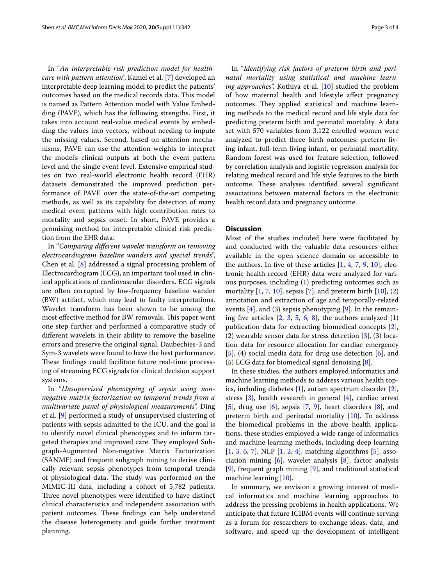In "*An interpretable risk prediction model for healthcare with pattern attention*", Kamel et al. [\[7\]](#page-3-9) developed an interpretable deep learning model to predict the patients' outcomes based on the medical records data. This model is named as Pattern Attention model with Value Embedding (PAVE), which has the following strengths. First, it takes into account real-value medical events by embedding the values into vectors, without needing to impute the missing values. Second, based on attention mechanisms, PAVE can use the attention weights to interpret the model's clinical outputs at both the event pattern level and the single event level. Extensive empirical studies on two real-world electronic health record (EHR) datasets demonstrated the improved prediction performance of PAVE over the state-of-the-art competing methods, as well as its capability for detection of many medical event patterns with high contribution rates to mortality and sepsis onset. In short, PAVE provides a promising method for interpretable clinical risk prediction from the EHR data.

In "*Comparing diferent wavelet transform on removing electrocardiogram baseline wanders and special trends*", Chen et al. [\[8](#page-3-1)] addressed a signal processing problem of Electrocardiogram (ECG), an important tool used in clinical applications of cardiovascular disorders. ECG signals are often corrupted by low-frequency baseline wander (BW) artifact, which may lead to faulty interpretations. Wavelet transform has been shown to be among the most effective method for BW removals. This paper went one step further and performed a comparative study of diferent wavelets in their ability to remove the baseline errors and preserve the original signal. Daubechies-3 and Sym-3 wavelets were found to have the best performance. These findings could facilitate future real-time processing of streaming ECG signals for clinical decision support systems.

In "*Unsupervised phenotyping of sepsis using nonnegative matrix factorization on temporal trends from a multivariate panel of physiological measurements*", Ding et al. [\[9](#page-3-2)] performed a study of unsupervised clustering of patients with sepsis admitted to the ICU, and the goal is to identify novel clinical phenotypes and to inform targeted therapies and improved care. They employed Subgraph-Augmented Non-negative Matrix Factorization (SANMF) and frequent subgraph mining to derive clinically relevant sepsis phenotypes from temporal trends of physiological data. The study was performed on the MIMIC-III data, including a cohort of 5,782 patients. Three novel phenotypes were identified to have distinct clinical characteristics and independent association with patient outcomes. These findings can help understand the disease heterogeneity and guide further treatment planning.

In "*Identifying risk factors of preterm birth and perinatal mortality using statistical and machine learning approaches*", Kothiya et al. [\[10\]](#page-3-3) studied the problem of how maternal health and lifestyle afect pregnancy outcomes. They applied statistical and machine learning methods to the medical record and life style data for predicting preterm birth and perinatal mortality. A data set with 570 variables from 3,122 enrolled women were analyzed to predict three birth outcomes: preterm living infant, full-term living infant, or perinatal mortality. Random forest was used for feature selection, followed by correlation analysis and logistic regression analysis for relating medical record and life style features to the birth outcome. These analyses identified several significant associations between maternal factors in the electronic health record data and pregnancy outcome.

### **Discussion**

Most of the studies included here were facilitated by and conducted with the valuable data resources either available in the open science domain or accessible to the authors. In five of these articles  $[1, 4, 7, 9, 10]$  $[1, 4, 7, 9, 10]$  $[1, 4, 7, 9, 10]$  $[1, 4, 7, 9, 10]$  $[1, 4, 7, 9, 10]$  $[1, 4, 7, 9, 10]$  $[1, 4, 7, 9, 10]$  $[1, 4, 7, 9, 10]$  $[1, 4, 7, 9, 10]$ , electronic health record (EHR) data were analyzed for various purposes, including (1) predicting outcomes such as mortality  $[1, 7, 10]$  $[1, 7, 10]$  $[1, 7, 10]$  $[1, 7, 10]$  $[1, 7, 10]$  $[1, 7, 10]$ , sepsis  $[7]$  $[7]$ , and preterm birth  $[10]$  $[10]$ ,  $(2)$ annotation and extraction of age and temporally-related events  $[4]$  $[4]$ , and (3) sepsis phenotyping  $[9]$  $[9]$ . In the remaining five articles  $[2, 3, 5, 6, 8]$  $[2, 3, 5, 6, 8]$  $[2, 3, 5, 6, 8]$  $[2, 3, 5, 6, 8]$  $[2, 3, 5, 6, 8]$  $[2, 3, 5, 6, 8]$  $[2, 3, 5, 6, 8]$  $[2, 3, 5, 6, 8]$  $[2, 3, 5, 6, 8]$  $[2, 3, 5, 6, 8]$ , the authors analyzed  $(1)$ publication data for extracting biomedical concepts [\[2](#page-3-4)], (2) wearable sensor data for stress detection [\[3](#page-3-5)], (3) location data for resource allocation for cardiac emergency [[5\]](#page-3-7), (4) social media data for drug use detection [[6\]](#page-3-8), and (5) ECG data for biomedical signal denoising  $[8]$  $[8]$ .

In these studies, the authors employed informatics and machine learning methods to address various health topics, including diabetes [\[1](#page-3-0)], autism spectrum disorder [\[2](#page-3-4)], stress [[3\]](#page-3-5), health research in general [[4\]](#page-3-6), cardiac arrest [[5\]](#page-3-7), drug use  $[6]$  $[6]$ , sepsis  $[7, 9]$  $[7, 9]$  $[7, 9]$ , heart disorders  $[8]$  $[8]$ , and preterm birth and perinatal mortality [[10\]](#page-3-3). To address the biomedical problems in the above health applications, these studies employed a wide range of informatics and machine learning methods, including deep learning [[1,](#page-3-0) [3](#page-3-5), [6,](#page-3-8) [7\]](#page-3-9), NLP [[1,](#page-3-0) [2](#page-3-4), [4](#page-3-6)], matching algorithms [\[5\]](#page-3-7), association mining  $[6]$ , wavelet analysis  $[8]$  $[8]$ , factor analysis [[9\]](#page-3-2), frequent graph mining [[9\]](#page-3-2), and traditional statistical machine learning [\[10](#page-3-3)].

In summary, we envision a growing interest of medical informatics and machine learning approaches to address the pressing problems in health applications. We anticipate that future ICIBM events will continue serving as a forum for researchers to exchange ideas, data, and software, and speed up the development of intelligent